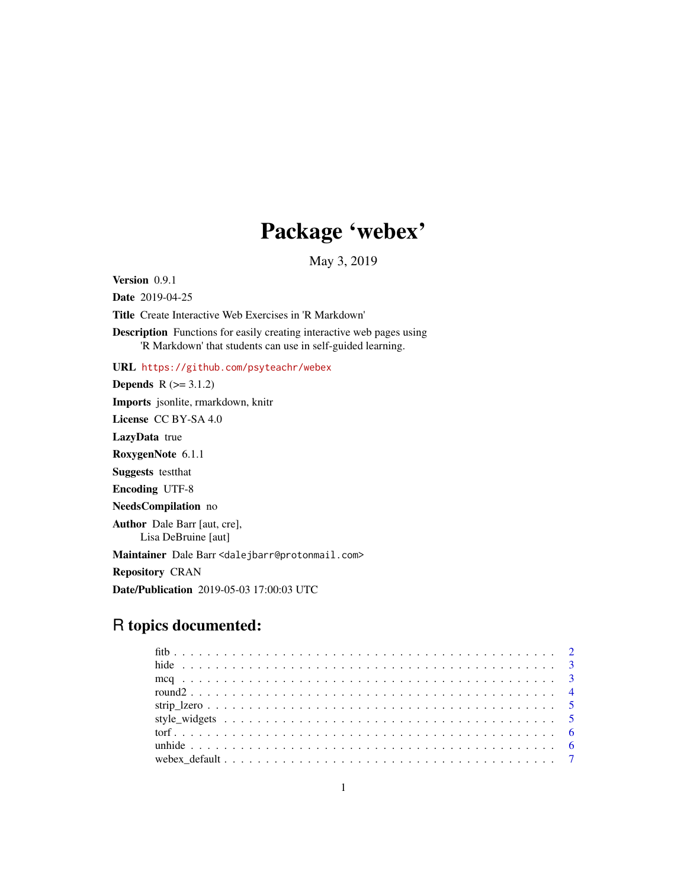## Package 'webex'

May 3, 2019

<span id="page-0-0"></span>Version 0.9.1 Date 2019-04-25 Title Create Interactive Web Exercises in 'R Markdown' Description Functions for easily creating interactive web pages using 'R Markdown' that students can use in self-guided learning. URL <https://github.com/psyteachr/webex> **Depends**  $R$  ( $>= 3.1.2$ ) Imports jsonlite, rmarkdown, knitr License CC BY-SA 4.0 LazyData true RoxygenNote 6.1.1 Suggests testthat Encoding UTF-8 NeedsCompilation no Author Dale Barr [aut, cre], Lisa DeBruine [aut] Maintainer Dale Barr <dalejbarr@protonmail.com> Repository CRAN Date/Publication 2019-05-03 17:00:03 UTC

## R topics documented: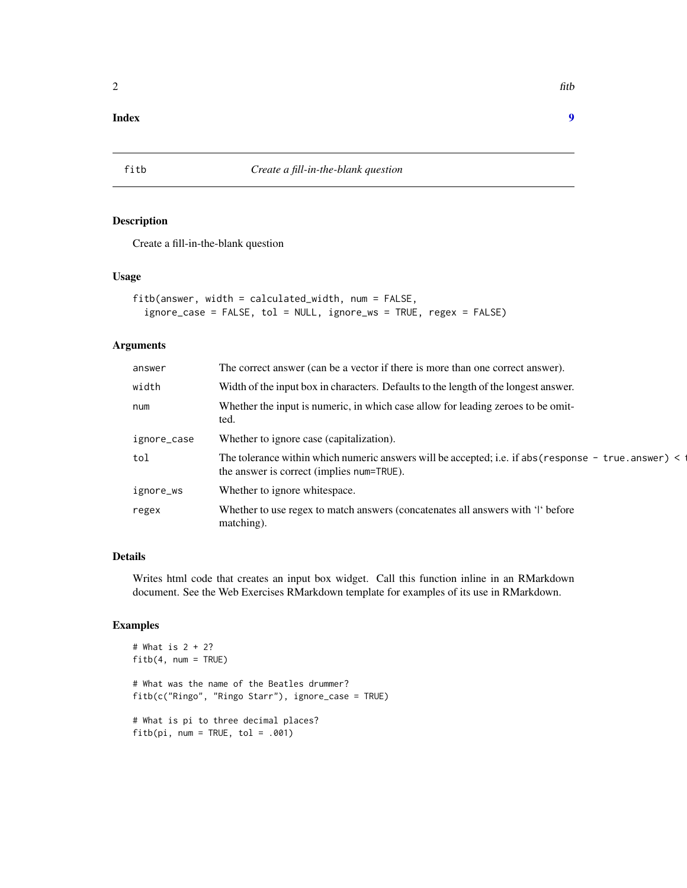## <span id="page-1-0"></span>**Index** [9](#page-8-0)

## Description

Create a fill-in-the-blank question

## Usage

```
fitb(answer, width = calculated_width, num = FALSE,
  ignore_case = FALSE, tol = NULL, ignore_ws = TRUE, regex = FALSE)
```
## Arguments

| The correct answer (can be a vector if there is more than one correct answer).                                                                       |
|------------------------------------------------------------------------------------------------------------------------------------------------------|
| Width of the input box in characters. Defaults to the length of the longest answer.                                                                  |
| Whether the input is numeric, in which case allow for leading zeroes to be omit-<br>ted.                                                             |
| Whether to ignore case (capitalization).                                                                                                             |
| The tolerance within which numeric answers will be accepted; i.e. if abs ( $respose - true$ . answer) <<br>the answer is correct (implies num=TRUE). |
| Whether to ignore whitespace.                                                                                                                        |
| Whether to use regex to match answers (concatenates all answers with 'the before<br>matching).                                                       |
|                                                                                                                                                      |

## Details

Writes html code that creates an input box widget. Call this function inline in an RMarkdown document. See the Web Exercises RMarkdown template for examples of its use in RMarkdown.

## Examples

```
# What is 2 + 2?
fitb(4, num = TRUE)
# What was the name of the Beatles drummer?
fitb(c("Ringo", "Ringo Starr"), ignore_case = TRUE)
# What is pi to three decimal places?
fitbipi, num = TRUE, tol = .001)
```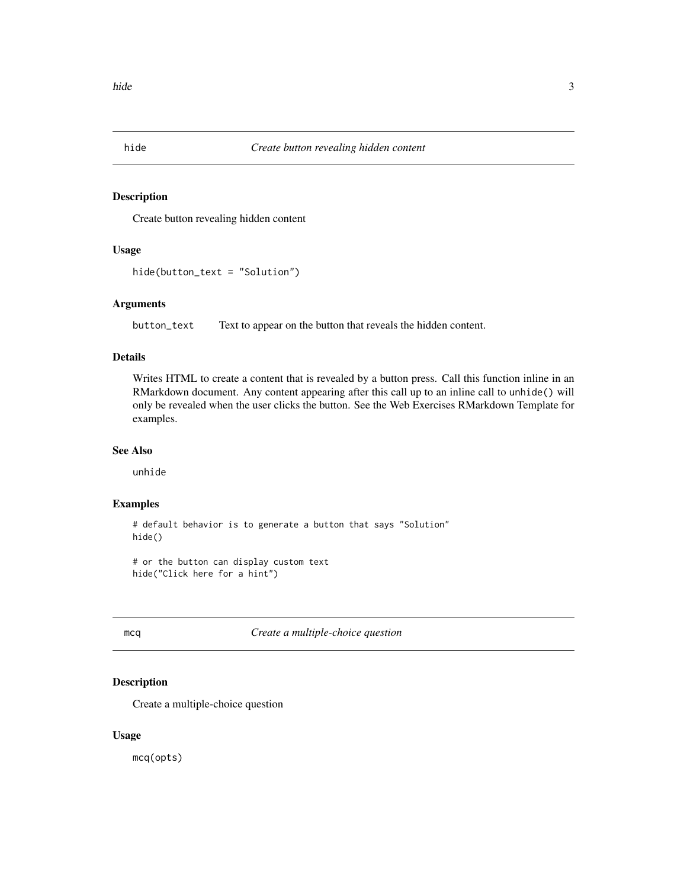<span id="page-2-0"></span>

## Description

Create button revealing hidden content

#### Usage

```
hide(button_text = "Solution")
```
## Arguments

button\_text Text to appear on the button that reveals the hidden content.

## Details

Writes HTML to create a content that is revealed by a button press. Call this function inline in an RMarkdown document. Any content appearing after this call up to an inline call to unhide() will only be revealed when the user clicks the button. See the Web Exercises RMarkdown Template for examples.

#### See Also

unhide

#### Examples

# default behavior is to generate a button that says "Solution" hide()

# or the button can display custom text hide("Click here for a hint")

mcq *Create a multiple-choice question*

#### Description

Create a multiple-choice question

#### Usage

mcq(opts)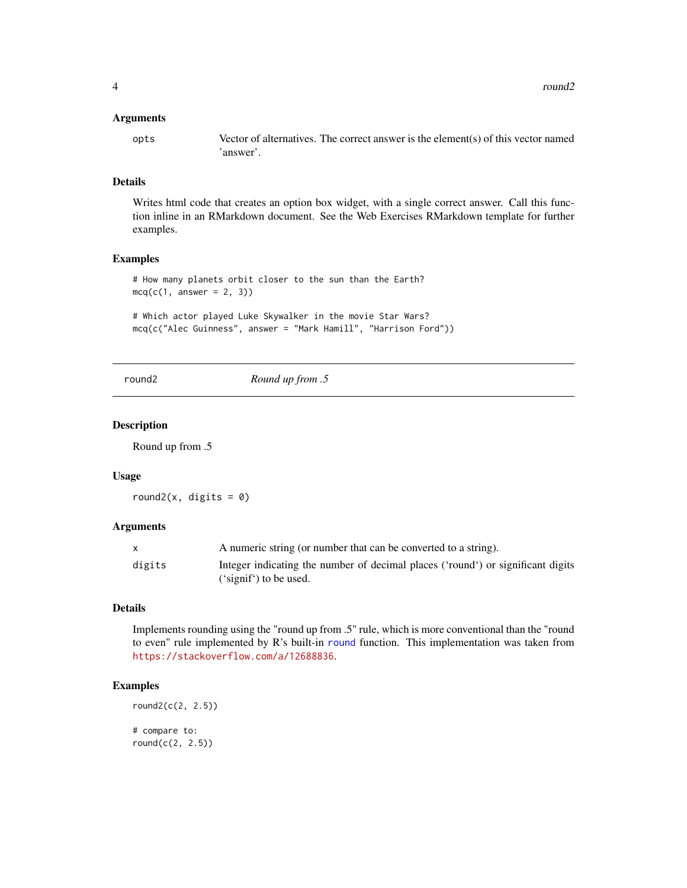#### <span id="page-3-0"></span>Arguments

opts Vector of alternatives. The correct answer is the element(s) of this vector named 'answer'.

#### Details

Writes html code that creates an option box widget, with a single correct answer. Call this function inline in an RMarkdown document. See the Web Exercises RMarkdown template for further examples.

#### Examples

```
# How many planets orbit closer to the sun than the Earth?
mcq(c(1, answer = 2, 3))
```
# Which actor played Luke Skywalker in the movie Star Wars? mcq(c("Alec Guinness", answer = "Mark Hamill", "Harrison Ford"))

round2 *Round up from .5*

#### Description

Round up from .5

#### Usage

round2(x, digits =  $0$ )

#### Arguments

|        | A numeric string (or number that can be converted to a string).                 |
|--------|---------------------------------------------------------------------------------|
| digits | Integer indicating the number of decimal places ('round') or significant digits |
|        | $('signif')$ to be used.                                                        |

#### Details

Implements rounding using the "round up from .5" rule, which is more conventional than the "round to even" rule implemented by R's built-in [round](#page-0-0) function. This implementation was taken from <https://stackoverflow.com/a/12688836>.

#### Examples

```
round2(c(2, 2.5))
# compare to:
round(c(2, 2.5))
```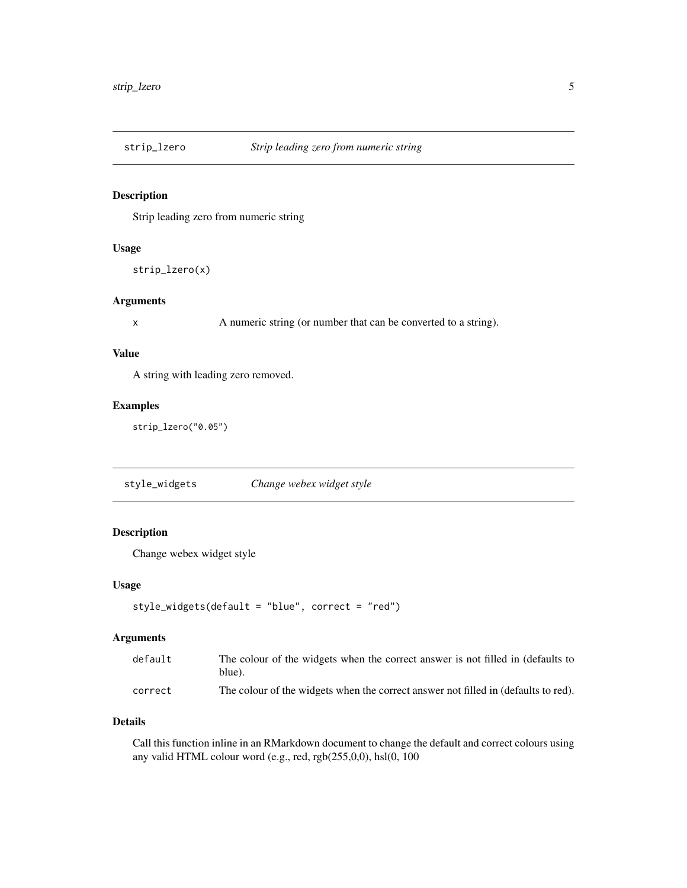<span id="page-4-0"></span>

## Description

Strip leading zero from numeric string

## Usage

```
strip_lzero(x)
```
#### Arguments

x A numeric string (or number that can be converted to a string).

## Value

A string with leading zero removed.

## Examples

strip\_lzero("0.05")

style\_widgets *Change webex widget style*

## Description

Change webex widget style

## Usage

```
style_widgets(default = "blue", correct = "red")
```
## Arguments

| default | The colour of the widgets when the correct answer is not filled in (defaults to<br>blue). |
|---------|-------------------------------------------------------------------------------------------|
| correct | The colour of the widgets when the correct answer not filled in (defaults to red).        |

## Details

Call this function inline in an RMarkdown document to change the default and correct colours using any valid HTML colour word (e.g., red, rgb(255,0,0), hsl(0, 100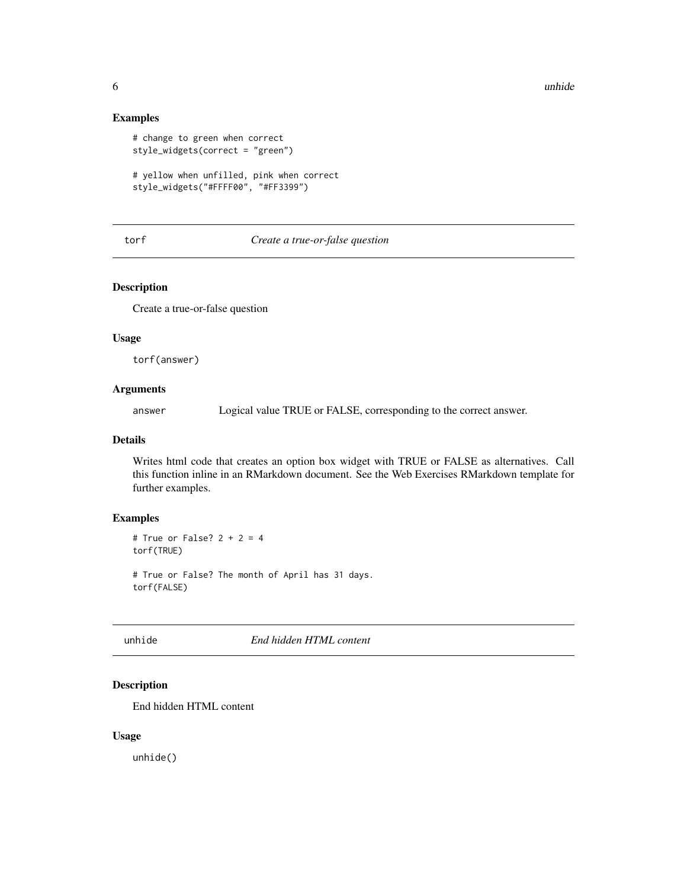## Examples

```
# change to green when correct
style_widgets(correct = "green")
# yellow when unfilled, pink when correct
style_widgets("#FFFF00", "#FF3399")
```
## torf *Create a true-or-false question*

#### Description

Create a true-or-false question

## Usage

torf(answer)

## Arguments

answer Logical value TRUE or FALSE, corresponding to the correct answer.

## Details

Writes html code that creates an option box widget with TRUE or FALSE as alternatives. Call this function inline in an RMarkdown document. See the Web Exercises RMarkdown template for further examples.

## Examples

```
# True or False? 2 + 2 = 4torf(TRUE)
# True or False? The month of April has 31 days.
torf(FALSE)
```
unhide *End hidden HTML content*

## Description

End hidden HTML content

#### Usage

unhide()

<span id="page-5-0"></span>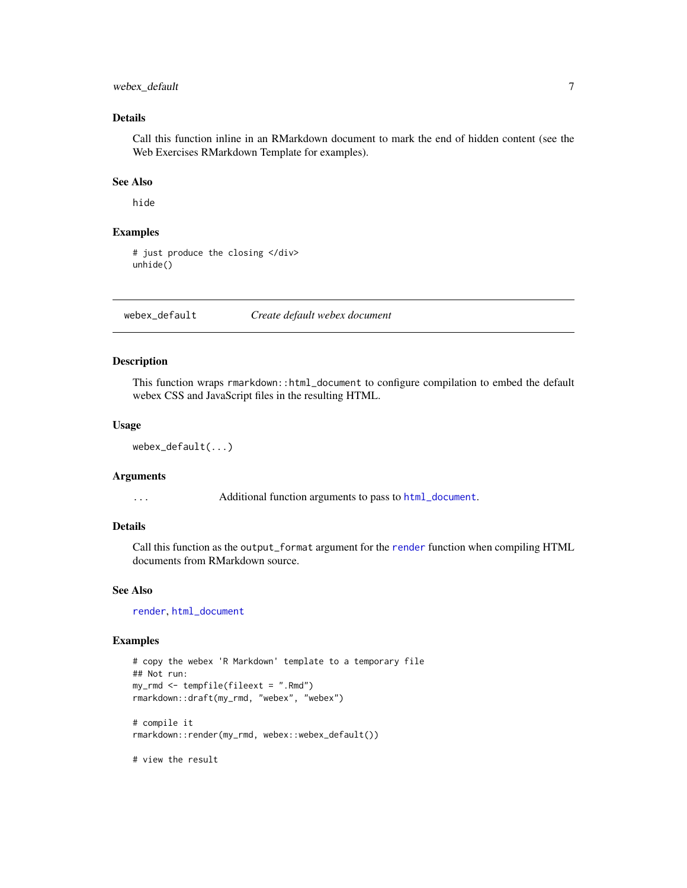## <span id="page-6-0"></span>webex\_default 7

## Details

Call this function inline in an RMarkdown document to mark the end of hidden content (see the Web Exercises RMarkdown Template for examples).

## See Also

hide

## Examples

```
# just produce the closing </div>
unhide()
```
webex\_default *Create default webex document*

## Description

This function wraps rmarkdown::html\_document to configure compilation to embed the default webex CSS and JavaScript files in the resulting HTML.

#### Usage

```
webex_default(...)
```
#### Arguments

... Additional function arguments to pass to [html\\_document](#page-0-0).

## Details

Call this function as the output\_format argument for the [render](#page-0-0) function when compiling HTML documents from RMarkdown source.

## See Also

[render](#page-0-0), [html\\_document](#page-0-0)

#### Examples

```
# copy the webex 'R Markdown' template to a temporary file
## Not run:
my_rmd <- tempfile(fileext = ".Rmd")
rmarkdown::draft(my_rmd, "webex", "webex")
# compile it
rmarkdown::render(my_rmd, webex::webex_default())
```
# view the result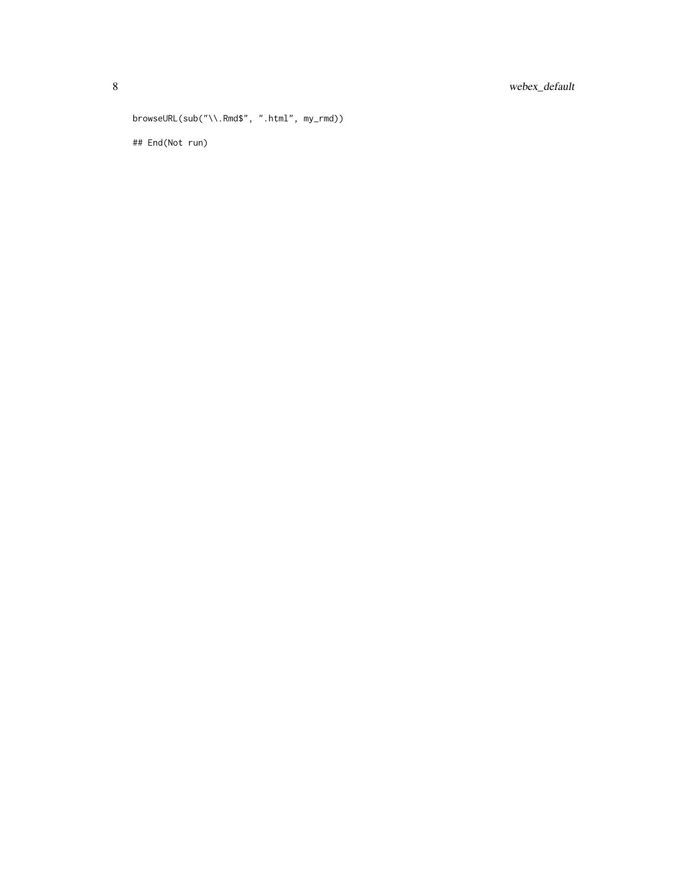```
browseURL(sub("\\.Rmd$", ".html", my_rmd))
## End(Not run)
```